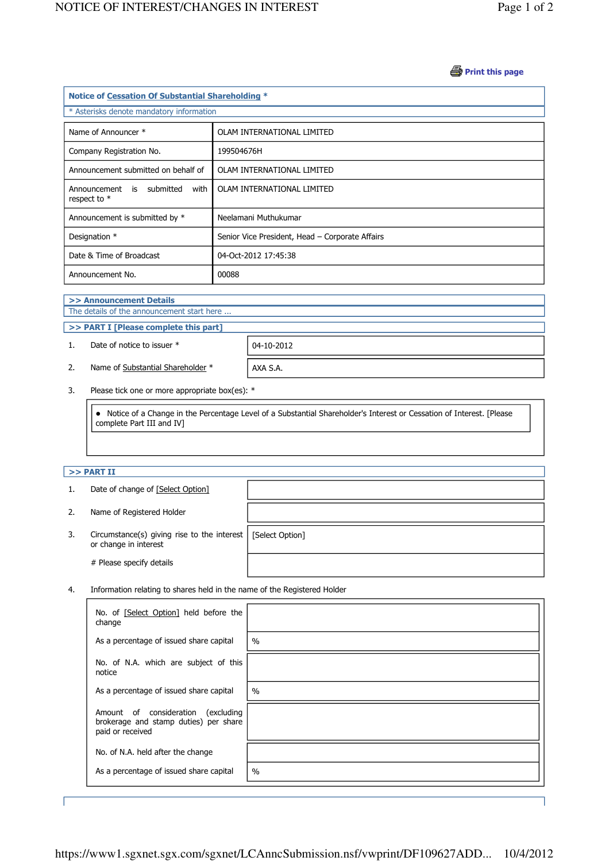### **B** Print this page

| Notice of Cessation Of Substantial Shareholding * |                                                 |  |  |  |
|---------------------------------------------------|-------------------------------------------------|--|--|--|
| * Asterisks denote mandatory information          |                                                 |  |  |  |
| Name of Announcer *                               | OLAM INTERNATIONAL LIMITED                      |  |  |  |
| Company Registration No.                          | 199504676H                                      |  |  |  |
| Announcement submitted on behalf of               | OLAM INTERNATIONAL LIMITED                      |  |  |  |
| Announcement is submitted<br>with<br>respect to * | OLAM INTERNATIONAL LIMITED                      |  |  |  |
| Announcement is submitted by *                    | Neelamani Muthukumar                            |  |  |  |
| Designation *                                     | Senior Vice President, Head - Corporate Affairs |  |  |  |
| Date & Time of Broadcast                          | 04-Oct-2012 17:45:38                            |  |  |  |
| Announcement No.                                  | 00088                                           |  |  |  |

#### >> Announcement Details

j

J

The details of the announcement start here ...

# >> PART I [Please complete this part]

1. Date of notice to issuer  $*$  | 04-10-2012

2. Name of Substantial Shareholder  $*$  | AXA S.A.

3. Please tick one or more appropriate box(es): \*

 Notice of a Change in the Percentage Level of a Substantial Shareholder's Interest or Cessation of Interest. [Please complete Part III and IV]

# $>>$  PART II

j

| 1. | Date of change of [Select Option]                                    |                 |  |
|----|----------------------------------------------------------------------|-----------------|--|
| 2. | Name of Registered Holder                                            |                 |  |
| 3. | Circumstance(s) giving rise to the interest<br>or change in interest | [Select Option] |  |
|    | # Please specify details                                             |                 |  |

4. Information relating to shares held in the name of the Registered Holder

| No. of [Select Option] held before the<br>change                                                   |      |
|----------------------------------------------------------------------------------------------------|------|
| As a percentage of issued share capital                                                            | $\%$ |
| No. of N.A. which are subject of this<br>notice                                                    |      |
| As a percentage of issued share capital                                                            | $\%$ |
| Amount of consideration<br>(excluding<br>brokerage and stamp duties) per share<br>paid or received |      |
| No. of N.A. held after the change                                                                  |      |
| As a percentage of issued share capital                                                            | $\%$ |

J